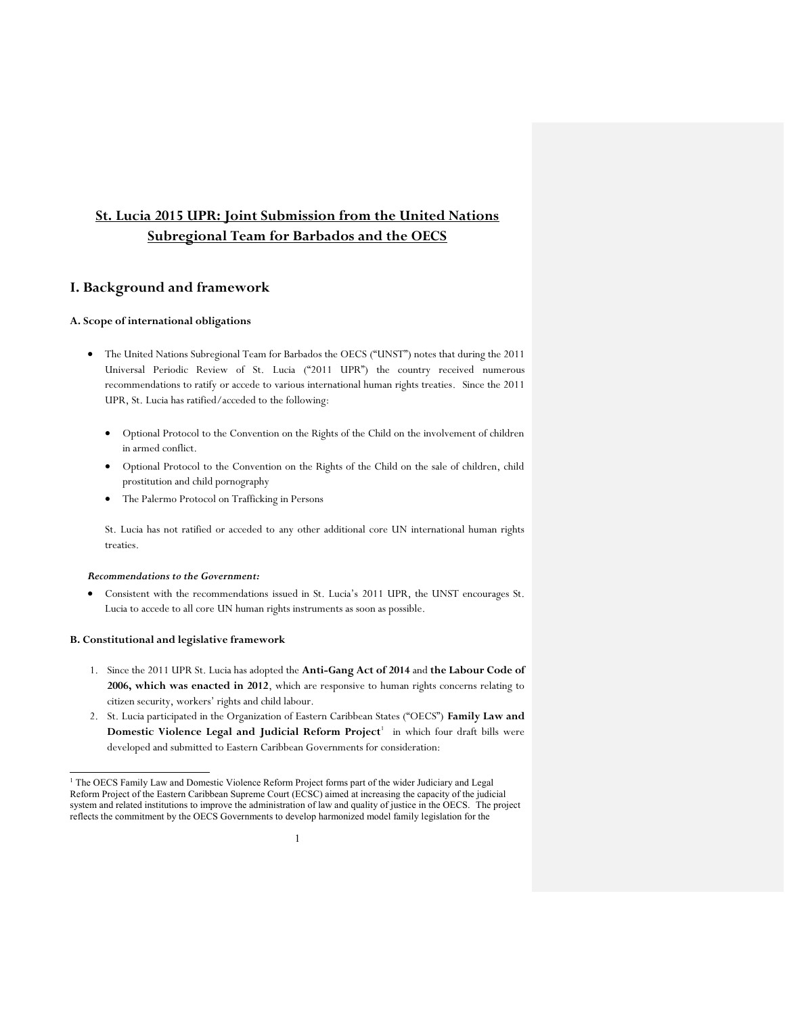# **St. Lucia 2015 UPR: Joint Submission from the United Nations Subregional Team for Barbados and the OECS**

# **I. Background and framework**

## **A. Scope of international obligations**

- The United Nations Subregional Team for Barbados the OECS ("UNST") notes that during the 2011 Universal Periodic Review of St. Lucia ("2011 UPR") the country received numerous recommendations to ratify or accede to various international human rights treaties. Since the 2011 UPR, St. Lucia has ratified/acceded to the following:
	- Optional Protocol to the Convention on the Rights of the Child on the involvement of children in armed conflict.
	- x Optional Protocol to the Convention on the Rights of the Child on the sale of children, child prostitution and child pornography
	- The Palermo Protocol on Trafficking in Persons

St. Lucia has not ratified or acceded to any other additional core UN international human rights treaties.

# *Recommendations to the Government:*

x Consistent with the recommendations issued in St. Lucia's 2011 UPR, the UNST encourages St. Lucia to accede to all core UN human rights instruments as soon as possible.

## **B. Constitutional and legislative framework**

- 1. Since the 2011 UPR St. Lucia has adopted the **Anti-Gang Act of 2014** and **the Labour Code of 2006, which was enacted in 2012**, which are responsive to human rights concerns relating to citizen security, workers' rights and child labour.
- 2. St. Lucia participated in the Organization of Eastern Caribbean States ("OECS") **Family Law and**  Domestic Violence Legal and Judicial Reform Project<sup>1</sup> in which four draft bills were developed and submitted to Eastern Caribbean Governments for consideration:

<sup>&</sup>lt;sup>1</sup> The OECS Family Law and Domestic Violence Reform Project forms part of the wider Judiciary and Legal Reform Project of the Eastern Caribbean Supreme Court (ECSC) aimed at increasing the capacity of the judicial system and related institutions to improve the administration of law and quality of justice in the OECS. The project reflects the commitment by the OECS Governments to develop harmonized model family legislation for the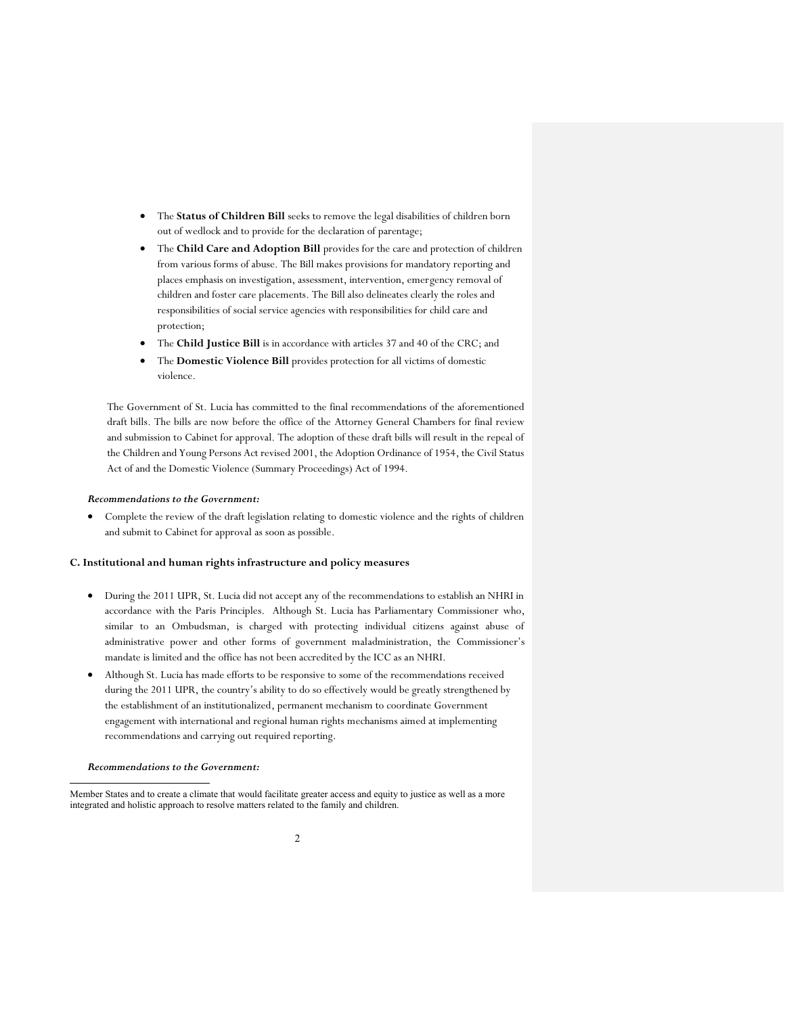- x The **Status of Children Bill** seeks to remove the legal disabilities of children born out of wedlock and to provide for the declaration of parentage;
- **•** The **Child Care and Adoption Bill** provides for the care and protection of children from various forms of abuse. The Bill makes provisions for mandatory reporting and places emphasis on investigation, assessment, intervention, emergency removal of children and foster care placements. The Bill also delineates clearly the roles and responsibilities of social service agencies with responsibilities for child care and protection;
- The **Child Justice Bill** is in accordance with articles 37 and 40 of the CRC; and
- x The **Domestic Violence Bill** provides protection for all victims of domestic violence.

The Government of St. Lucia has committed to the final recommendations of the aforementioned draft bills. The bills are now before the office of the Attorney General Chambers for final review and submission to Cabinet for approval. The adoption of these draft bills will result in the repeal of the Children and Young Persons Act revised 2001, the Adoption Ordinance of 1954, the Civil Status Act of and the Domestic Violence (Summary Proceedings) Act of 1994.

## *Recommendations to the Government:*

• Complete the review of the draft legislation relating to domestic violence and the rights of children and submit to Cabinet for approval as soon as possible.

## **C. Institutional and human rights infrastructure and policy measures**

- x During the 2011 UPR, St. Lucia did not accept any of the recommendations to establish an NHRI in accordance with the Paris Principles. Although St. Lucia has Parliamentary Commissioner who, similar to an Ombudsman, is charged with protecting individual citizens against abuse of administrative power and other forms of government maladministration, the Commissioner's mandate is limited and the office has not been accredited by the ICC as an NHRI.
- Although St. Lucia has made efforts to be responsive to some of the recommendations received during the 2011 UPR, the country's ability to do so effectively would be greatly strengthened by the establishment of an institutionalized, permanent mechanism to coordinate Government engagement with international and regional human rights mechanisms aimed at implementing recommendations and carrying out required reporting.

### *Recommendations to the Government:*

 $\overline{a}$ 

Member States and to create a climate that would facilitate greater access and equity to justice as well as a more integrated and holistic approach to resolve matters related to the family and children.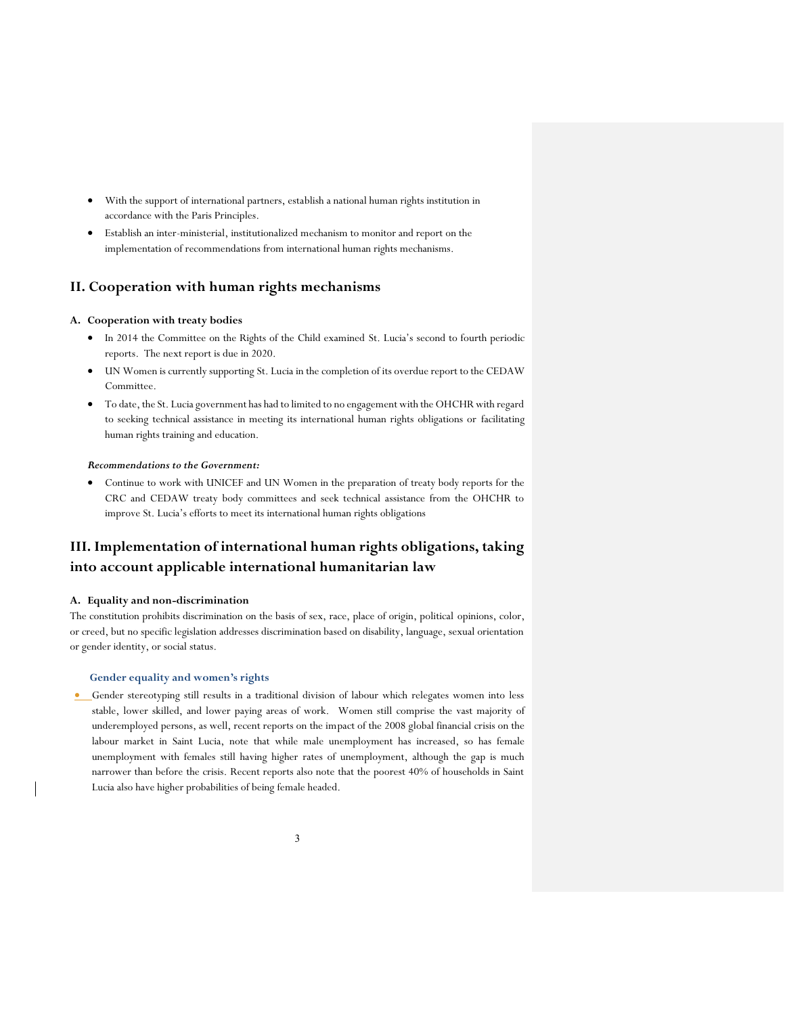- With the support of international partners, establish a national human rights institution in accordance with the Paris Principles.
- x Establish an inter-ministerial, institutionalized mechanism to monitor and report on the implementation of recommendations from international human rights mechanisms.

# **II. Cooperation with human rights mechanisms**

#### **A. Cooperation with treaty bodies**

- In 2014 the Committee on the Rights of the Child examined St. Lucia's second to fourth periodic reports. The next report is due in 2020.
- UN Women is currently supporting St. Lucia in the completion of its overdue report to the CEDAW Committee.
- x To date, the St. Lucia government has had to limited to no engagement with the OHCHR with regard to seeking technical assistance in meeting its international human rights obligations or facilitating human rights training and education.

#### *Recommendations to the Government:*

• Continue to work with UNICEF and UN Women in the preparation of treaty body reports for the CRC and CEDAW treaty body committees and seek technical assistance from the OHCHR to improve St. Lucia's efforts to meet its international human rights obligations

# **III. Implementation of international human rights obligations, taking into account applicable international humanitarian law**

#### **A. Equality and non-discrimination**

The constitution prohibits discrimination on the basis of sex, race, place of origin, political opinions, color, or creed, but no specific legislation addresses discrimination based on disability, language, sexual orientation or gender identity, or social status.

## **Gender equality and women's rights**

**•** Gender stereotyping still results in a traditional division of labour which relegates women into less stable, lower skilled, and lower paying areas of work. Women still comprise the vast majority of underemployed persons, as well, recent reports on the impact of the 2008 global financial crisis on the labour market in Saint Lucia, note that while male unemployment has increased, so has female unemployment with females still having higher rates of unemployment, although the gap is much narrower than before the crisis. Recent reports also note that the poorest 40% of households in Saint Lucia also have higher probabilities of being female headed.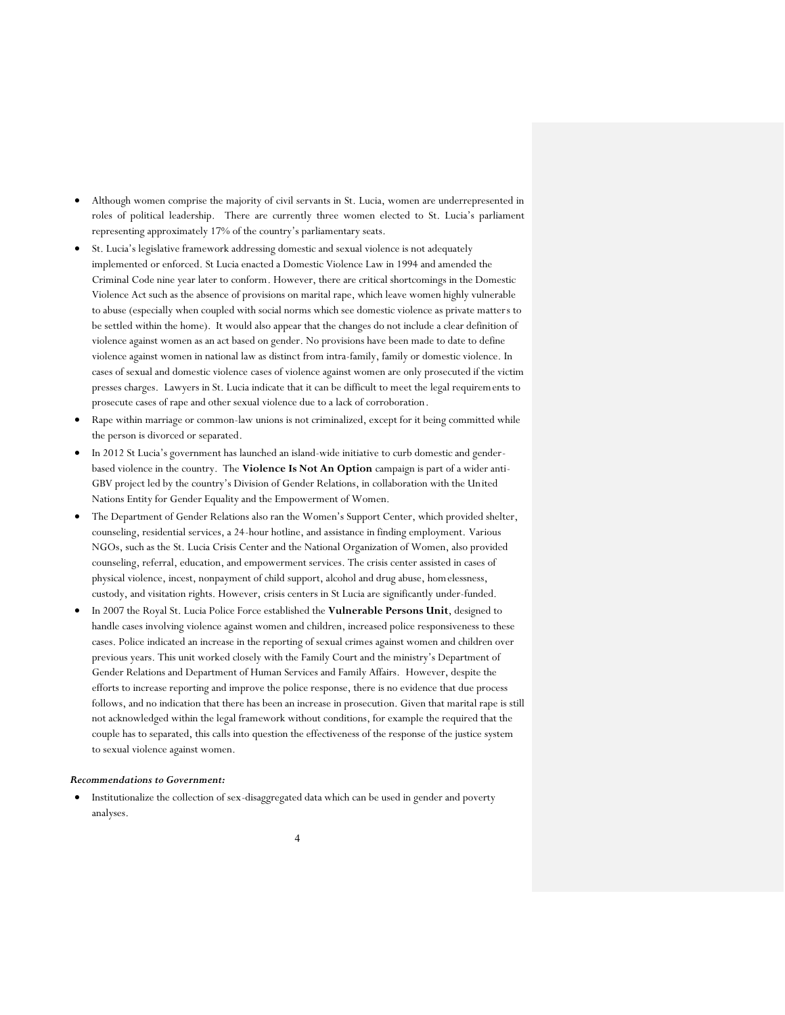- x Although women comprise the majority of civil servants in St. Lucia, women are underrepresented in roles of political leadership. There are currently three women elected to St. Lucia's parliament representing approximately 17% of the country's parliamentary seats.
- St. Lucia's legislative framework addressing domestic and sexual violence is not adequately implemented or enforced. St Lucia enacted a Domestic Violence Law in 1994 and amended the Criminal Code nine year later to conform. However, there are critical shortcomings in the Domestic Violence Act such as the absence of provisions on marital rape, which leave women highly vulnerable to abuse (especially when coupled with social norms which see domestic violence as private matters to be settled within the home). It would also appear that the changes do not include a clear definition of violence against women as an act based on gender. No provisions have been made to date to define violence against women in national law as distinct from intra-family, family or domestic violence. In cases of sexual and domestic violence cases of violence against women are only prosecuted if the victim presses charges. Lawyers in St. Lucia indicate that it can be difficult to meet the legal requirements to prosecute cases of rape and other sexual violence due to a lack of corroboration.
- Rape within marriage or common-law unions is not criminalized, except for it being committed while the person is divorced or separated.
- In 2012 St Lucia's government has launched an island-wide initiative to curb domestic and genderbased violence in the country. The **Violence Is Not An Option** campaign is part of a wider anti-GBV project led by the country's Division of Gender Relations, in collaboration with the United Nations Entity for Gender Equality and the Empowerment of Women.
- x The Department of Gender Relations also ran the Women's Support Center, which provided shelter, counseling, residential services, a 24-hour hotline, and assistance in finding employment. Various NGOs, such as the St. Lucia Crisis Center and the National Organization of Women, also provided counseling, referral, education, and empowerment services. The crisis center assisted in cases of physical violence, incest, nonpayment of child support, alcohol and drug abuse, homelessness, custody, and visitation rights. However, crisis centers in St Lucia are significantly under-funded.
- x In 2007 the Royal St. Lucia Police Force established the **Vulnerable Persons Unit**, designed to handle cases involving violence against women and children, increased police responsiveness to these cases. Police indicated an increase in the reporting of sexual crimes against women and children over previous years. This unit worked closely with the Family Court and the ministry's Department of Gender Relations and Department of Human Services and Family Affairs. However, despite the efforts to increase reporting and improve the police response, there is no evidence that due process follows, and no indication that there has been an increase in prosecution. Given that marital rape is still not acknowledged within the legal framework without conditions, for example the required that the couple has to separated, this calls into question the effectiveness of the response of the justice system to sexual violence against women.

#### *Recommendations to Government:*

Institutionalize the collection of sex-disaggregated data which can be used in gender and poverty analyses.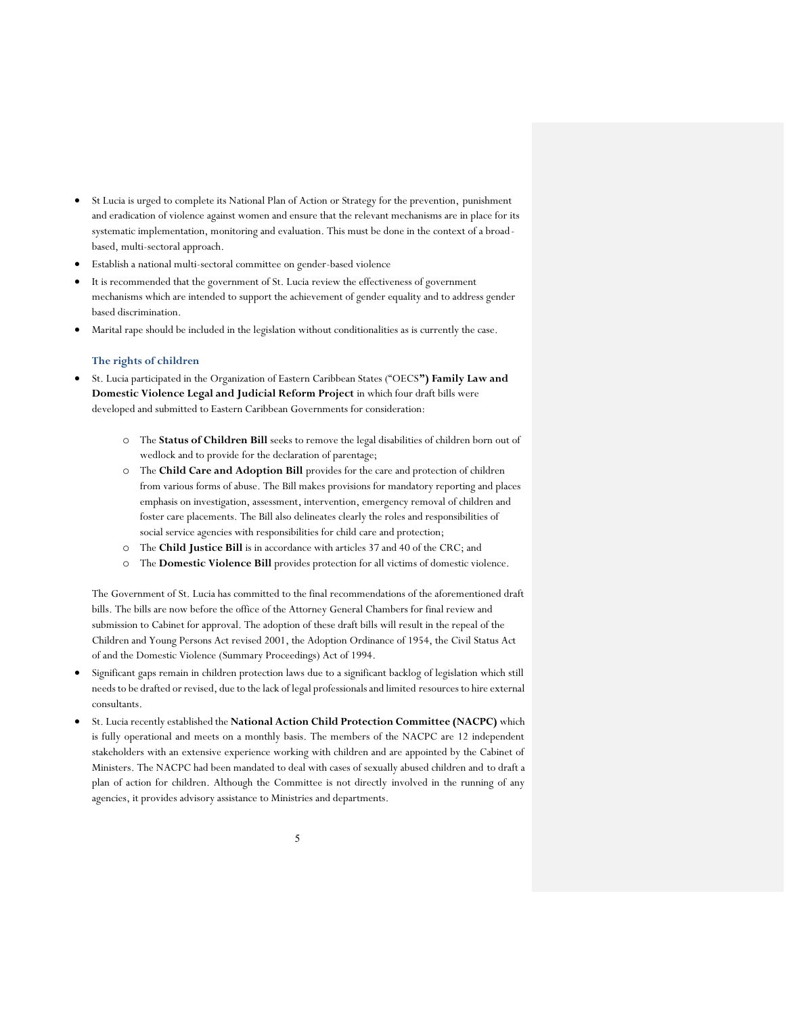- St Lucia is urged to complete its National Plan of Action or Strategy for the prevention, punishment and eradication of violence against women and ensure that the relevant mechanisms are in place for its systematic implementation, monitoring and evaluation. This must be done in the context of a broadbased, multi-sectoral approach.
- Establish a national multi-sectoral committee on gender-based violence
- It is recommended that the government of St. Lucia review the effectiveness of government mechanisms which are intended to support the achievement of gender equality and to address gender based discrimination.
- x Marital rape should be included in the legislation without conditionalities as is currently the case.

#### **The rights of children**

- x St. Lucia participated in the Organization of Eastern Caribbean States ("OECS**") Family Law and Domestic Violence Legal and Judicial Reform Project** in which four draft bills were developed and submitted to Eastern Caribbean Governments for consideration:
	- o The **Status of Children Bill** seeks to remove the legal disabilities of children born out of wedlock and to provide for the declaration of parentage;
	- o The **Child Care and Adoption Bill** provides for the care and protection of children from various forms of abuse. The Bill makes provisions for mandatory reporting and places emphasis on investigation, assessment, intervention, emergency removal of children and foster care placements. The Bill also delineates clearly the roles and responsibilities of social service agencies with responsibilities for child care and protection;
	- o The **Child Justice Bill** is in accordance with articles 37 and 40 of the CRC; and
	- o The **Domestic Violence Bill** provides protection for all victims of domestic violence.

The Government of St. Lucia has committed to the final recommendations of the aforementioned draft bills. The bills are now before the office of the Attorney General Chambers for final review and submission to Cabinet for approval. The adoption of these draft bills will result in the repeal of the Children and Young Persons Act revised 2001, the Adoption Ordinance of 1954, the Civil Status Act of and the Domestic Violence (Summary Proceedings) Act of 1994.

- x Significant gaps remain in children protection laws due to a significant backlog of legislation which still needs to be drafted or revised, due to the lack of legal professionals and limited resources to hire external consultants.
- x St. Lucia recently established the **National Action Child Protection Committee (NACPC)** which is fully operational and meets on a monthly basis. The members of the NACPC are 12 independent stakeholders with an extensive experience working with children and are appointed by the Cabinet of Ministers. The NACPC had been mandated to deal with cases of sexually abused children and to draft a plan of action for children. Although the Committee is not directly involved in the running of any agencies, it provides advisory assistance to Ministries and departments.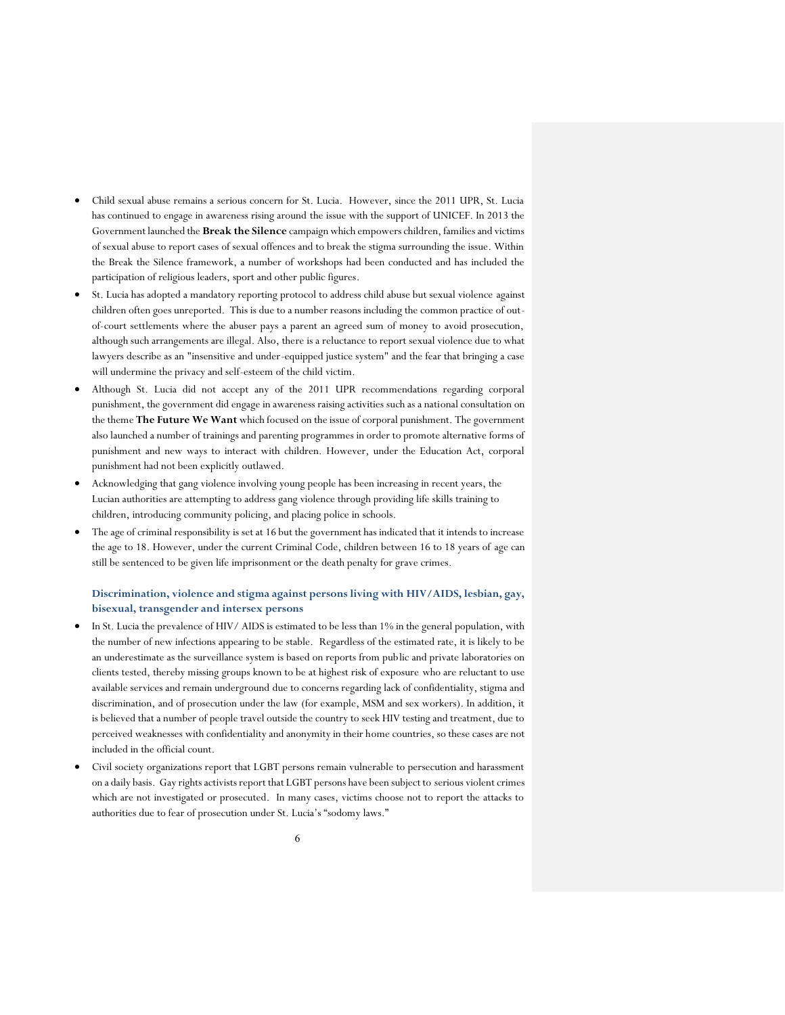- Child sexual abuse remains a serious concern for St. Lucia. However, since the 2011 UPR, St. Lucia has continued to engage in awareness rising around the issue with the support of UNICEF. In 2013 the Government launched the **Break the Silence** campaign which empowers children, families and victims of sexual abuse to report cases of sexual offences and to break the stigma surrounding the issue. Within the Break the Silence framework, a number of workshops had been conducted and has included the participation of religious leaders, sport and other public figures.
- x St. Lucia has adopted a mandatory reporting protocol to address child abuse but sexual violence against children often goes unreported. This is due to a number reasons including the common practice of outof-court settlements where the abuser pays a parent an agreed sum of money to avoid prosecution, although such arrangements are illegal. Also, there is a reluctance to report sexual violence due to what lawyers describe as an "insensitive and under-equipped justice system" and the fear that bringing a case will undermine the privacy and self-esteem of the child victim.
- x Although St. Lucia did not accept any of the 2011 UPR recommendations regarding corporal punishment, the government did engage in awareness raising activities such as a national consultation on the theme **The Future We Want** which focused on the issue of corporal punishment. The government also launched a number of trainings and parenting programmes in order to promote alternative forms of punishment and new ways to interact with children. However, under the Education Act, corporal punishment had not been explicitly outlawed.
- Acknowledging that gang violence involving young people has been increasing in recent years, the Lucian authorities are attempting to address gang violence through providing life skills training to children, introducing community policing, and placing police in schools.
- The age of criminal responsibility is set at 16 but the government has indicated that it intends to increase the age to 18. However, under the current Criminal Code, children between 16 to 18 years of age can still be sentenced to be given life imprisonment or the death penalty for grave crimes.

# **Discrimination, violence and stigma against persons living with HIV/AIDS, lesbian, gay, bisexual, transgender and intersex persons**

- In St. Lucia the prevalence of HIV/ AIDS is estimated to be less than 1% in the general population, with the number of new infections appearing to be stable. Regardless of the estimated rate, it is likely to be an underestimate as the surveillance system is based on reports from public and private laboratories on clients tested, thereby missing groups known to be at highest risk of exposure who are reluctant to use available services and remain underground due to concerns regarding lack of confidentiality, stigma and discrimination, and of prosecution under the law (for example, MSM and sex workers). In addition, it is believed that a number of people travel outside the country to seek HIV testing and treatment, due to perceived weaknesses with confidentiality and anonymity in their home countries, so these cases are not included in the official count.
- Civil society organizations report that LGBT persons remain vulnerable to persecution and harassment on a daily basis. Gay rights activists report that LGBT persons have been subject to serious violent crimes which are not investigated or prosecuted. In many cases, victims choose not to report the attacks to authorities due to fear of prosecution under St. Lucia's "sodomy laws."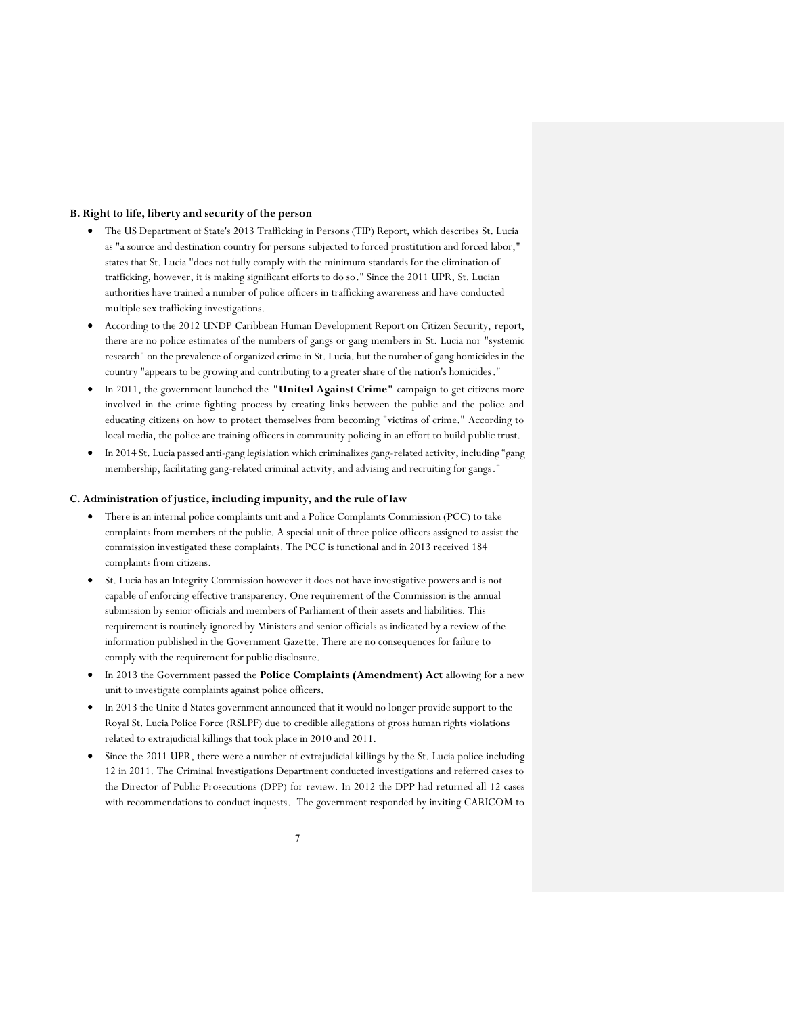#### **B. Right to life, liberty and security of the person**

- The US Department of State's 2013 Trafficking in Persons (TIP) Report, which describes St. Lucia as "a source and destination country for persons subjected to forced prostitution and forced labor," states that St. Lucia "does not fully comply with the minimum standards for the elimination of trafficking, however, it is making significant efforts to do so." Since the 2011 UPR, St. Lucian authorities have trained a number of police officers in trafficking awareness and have conducted multiple sex trafficking investigations.
- x According to the 2012 UNDP Caribbean Human Development Report on Citizen Security, report, there are no police estimates of the numbers of gangs or gang members in St. Lucia nor "systemic research" on the prevalence of organized crime in St. Lucia, but the number of gang homicides in the country "appears to be growing and contributing to a greater share of the nation's homicides."
- x In 2011, the government launched the **"United Against Crime"** campaign to get citizens more involved in the crime fighting process by creating links between the public and the police and educating citizens on how to protect themselves from becoming "victims of crime." According to local media, the police are training officers in community policing in an effort to build public trust.
- $\bullet$  In 2014 St. Lucia passed anti-gang legislation which criminalizes gang-related activity, including "gang membership, facilitating gang-related criminal activity, and advising and recruiting for gangs."

#### **C. Administration of justice, including impunity, and the rule of law**

- There is an internal police complaints unit and a Police Complaints Commission (PCC) to take complaints from members of the public. A special unit of three police officers assigned to assist the commission investigated these complaints. The PCC is functional and in 2013 received 184 complaints from citizens.
- x St. Lucia has an Integrity Commission however it does not have investigative powers and is not capable of enforcing effective transparency. One requirement of the Commission is the annual submission by senior officials and members of Parliament of their assets and liabilities. This requirement is routinely ignored by Ministers and senior officials as indicated by a review of the information published in the Government Gazette. There are no consequences for failure to comply with the requirement for public disclosure.
- In 2013 the Government passed the **Police Complaints (Amendment) Act** allowing for a new unit to investigate complaints against police officers.
- In 2013 the Unite d States government announced that it would no longer provide support to the Royal St. Lucia Police Force (RSLPF) due to credible allegations of gross human rights violations related to extrajudicial killings that took place in 2010 and 2011.
- Since the 2011 UPR, there were a number of extrajudicial killings by the St. Lucia police including 12 in 2011. The Criminal Investigations Department conducted investigations and referred cases to the Director of Public Prosecutions (DPP) for review. In 2012 the DPP had returned all 12 cases with recommendations to conduct inquests. The government responded by inviting CARICOM to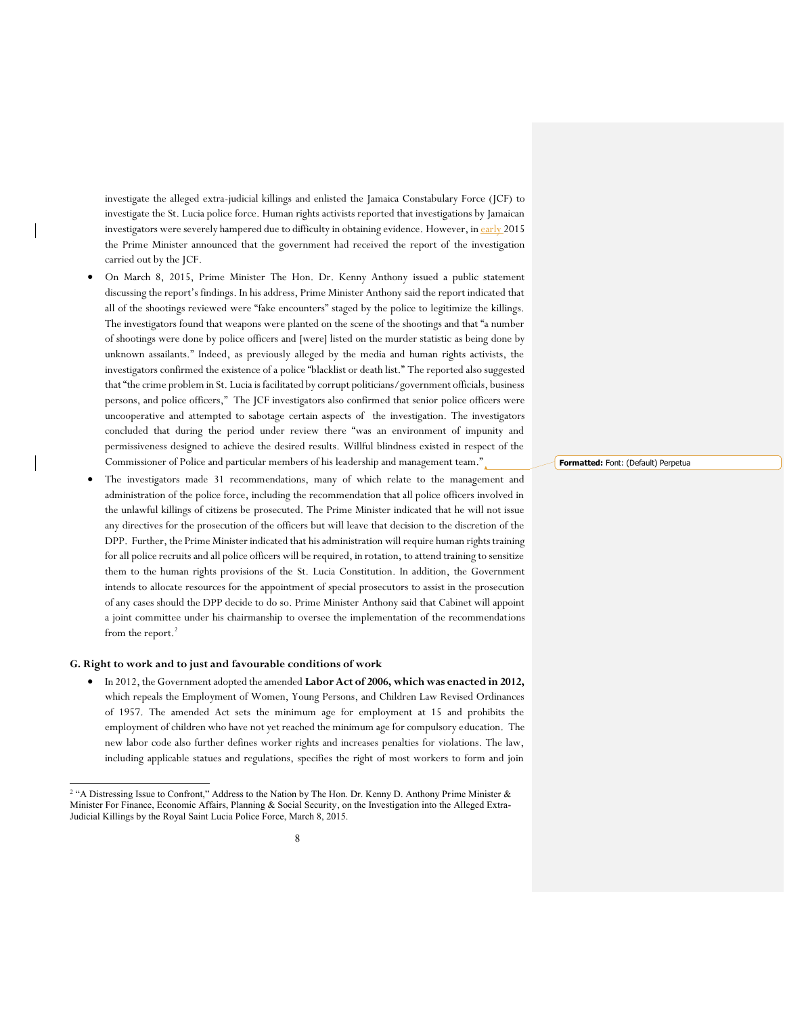investigate the alleged extra-judicial killings and enlisted the Jamaica Constabulary Force (JCF) to investigate the St. Lucia police force. Human rights activists reported that investigations by Jamaican investigators were severely hampered due to difficulty in obtaining evidence. However, in early 2015 the Prime Minister announced that the government had received the report of the investigation carried out by the JCF.

- x On March 8, 2015, Prime Minister The Hon. Dr. Kenny Anthony issued a public statement discussing the report's findings. In his address, Prime Minister Anthony said the report indicated that all of the shootings reviewed were "fake encounters" staged by the police to legitimize the killings. The investigators found that weapons were planted on the scene of the shootings and that "a number of shootings were done by police officers and [were] listed on the murder statistic as being done by unknown assailants." Indeed, as previously alleged by the media and human rights activists, the investigators confirmed the existence of a police "blacklist or death list." The reported also suggested that "the crime problem in St. Lucia is facilitated by corrupt politicians/government officials, business persons, and police officers," The JCF investigators also confirmed that senior police officers were uncooperative and attempted to sabotage certain aspects of the investigation. The investigators concluded that during the period under review there "was an environment of impunity and permissiveness designed to achieve the desired results. Willful blindness existed in respect of the Commissioner of Police and particular members of his leadership and management team."
- The investigators made 31 recommendations, many of which relate to the management and administration of the police force, including the recommendation that all police officers involved in the unlawful killings of citizens be prosecuted. The Prime Minister indicated that he will not issue any directives for the prosecution of the officers but will leave that decision to the discretion of the DPP. Further, the Prime Minister indicated that his administration will require human rights training for all police recruits and all police officers will be required, in rotation, to attend training to sensitize them to the human rights provisions of the St. Lucia Constitution. In addition, the Government intends to allocate resources for the appointment of special prosecutors to assist in the prosecution of any cases should the DPP decide to do so. Prime Minister Anthony said that Cabinet will appoint a joint committee under his chairmanship to oversee the implementation of the recommendations from the report.<sup>2</sup>

#### **G. Right to work and to just and favourable conditions of work**

x In 2012, the Government adopted the amended **Labor Act of 2006, which was enacted in 2012,** which repeals the Employment of Women, Young Persons, and Children Law Revised Ordinances of 1957. The amended Act sets the minimum age for employment at 15 and prohibits the employment of children who have not yet reached the minimum age for compulsory education. The new labor code also further defines worker rights and increases penalties for violations. The law, including applicable statues and regulations, specifies the right of most workers to form and join

**Formatted:** Font: (Default) Perpetua

 <sup>2</sup> "A Distressing Issue to Confront," Address to the Nation by The Hon. Dr. Kenny D. Anthony Prime Minister & Minister For Finance, Economic Affairs, Planning & Social Security, on the Investigation into the Alleged Extra-Judicial Killings by the Royal Saint Lucia Police Force, March 8, 2015.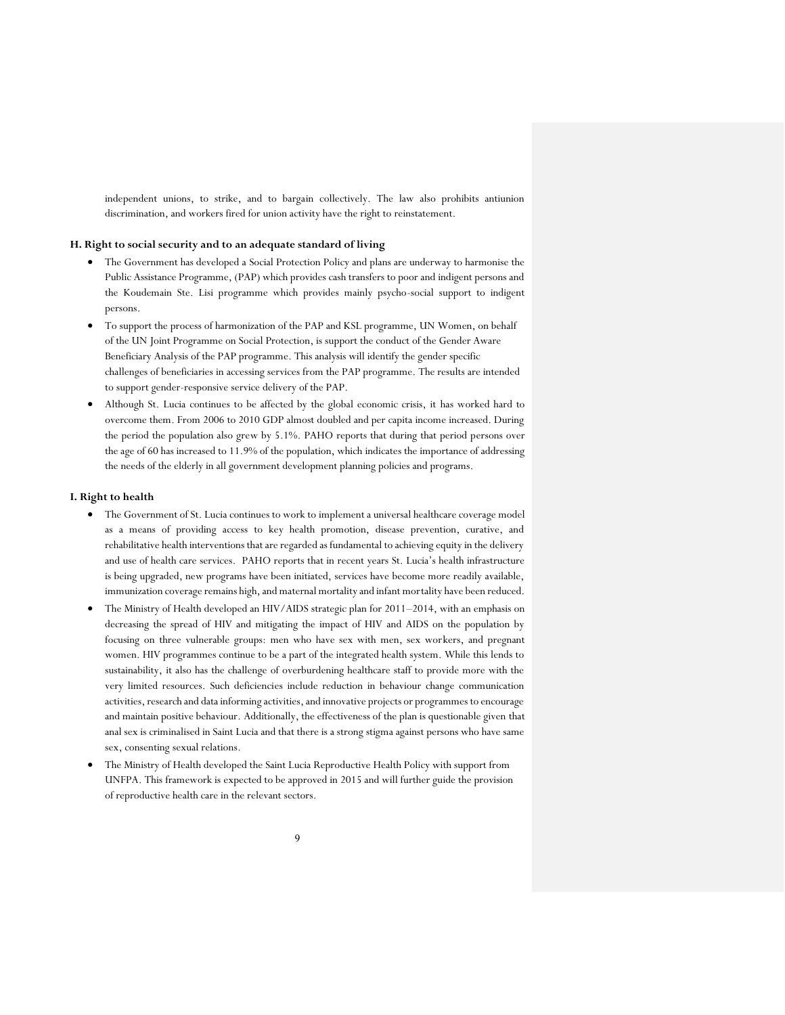independent unions, to strike, and to bargain collectively. The law also prohibits antiunion discrimination, and workers fired for union activity have the right to reinstatement.

## **H. Right to social security and to an adequate standard of living**

- The Government has developed a Social Protection Policy and plans are underway to harmonise the Public Assistance Programme, (PAP) which provides cash transfers to poor and indigent persons and the Koudemain Ste. Lisi programme which provides mainly psycho-social support to indigent persons.
- To support the process of harmonization of the PAP and KSL programme, UN Women, on behalf of the UN Joint Programme on Social Protection, is support the conduct of the Gender Aware Beneficiary Analysis of the PAP programme. This analysis will identify the gender specific challenges of beneficiaries in accessing services from the PAP programme. The results are intended to support gender-responsive service delivery of the PAP.
- x Although St. Lucia continues to be affected by the global economic crisis, it has worked hard to overcome them. From 2006 to 2010 GDP almost doubled and per capita income increased. During the period the population also grew by 5.1%. PAHO reports that during that period persons over the age of 60 has increased to 11.9% of the population, which indicates the importance of addressing the needs of the elderly in all government development planning policies and programs.

# **I. Right to health**

- The Government of St. Lucia continues to work to implement a universal healthcare coverage model as a means of providing access to key health promotion, disease prevention, curative, and rehabilitative health interventions that are regarded as fundamental to achieving equity in the delivery and use of health care services. PAHO reports that in recent years St. Lucia's health infrastructure is being upgraded, new programs have been initiated, services have become more readily available, immunization coverage remains high, and maternal mortality and infant mortality have been reduced.
- The Ministry of Health developed an HIV/AIDS strategic plan for 2011–2014, with an emphasis on decreasing the spread of HIV and mitigating the impact of HIV and AIDS on the population by focusing on three vulnerable groups: men who have sex with men, sex workers, and pregnant women. HIV programmes continue to be a part of the integrated health system. While this lends to sustainability, it also has the challenge of overburdening healthcare staff to provide more with the very limited resources. Such deficiencies include reduction in behaviour change communication activities, research and data informing activities, and innovative projects or programmes to encourage and maintain positive behaviour. Additionally, the effectiveness of the plan is questionable given that anal sex is criminalised in Saint Lucia and that there is a strong stigma against persons who have same sex, consenting sexual relations.
- x The Ministry of Health developed the Saint Lucia Reproductive Health Policy with support from UNFPA. This framework is expected to be approved in 2015 and will further guide the provision of reproductive health care in the relevant sectors.